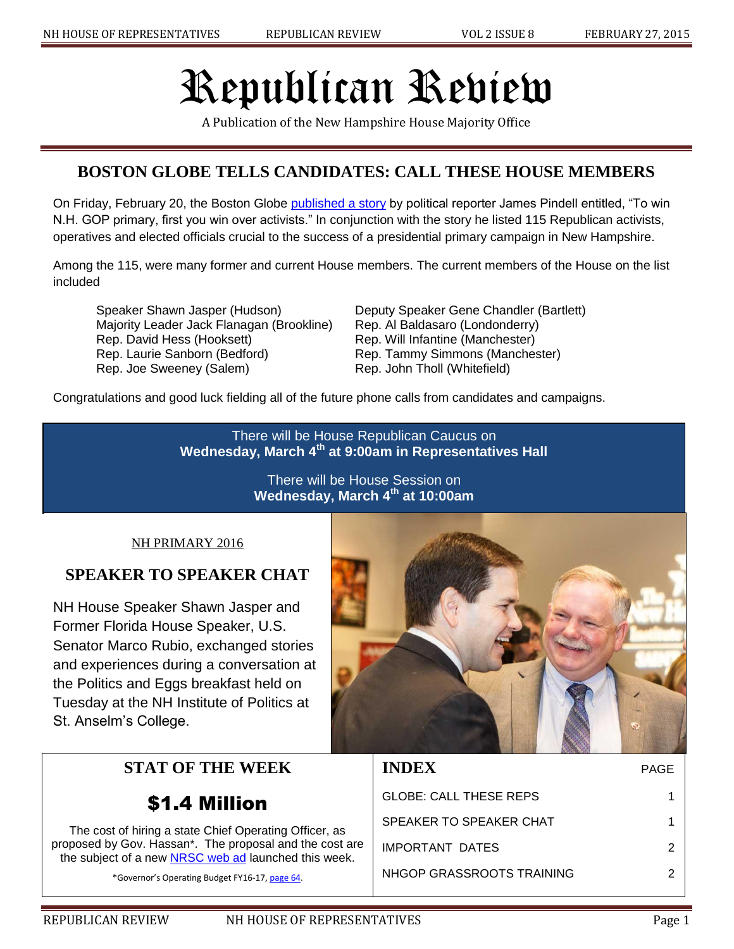# Republican Review

A Publication of the New Hampshire House Majority Office

# **BOSTON GLOBE TELLS CANDIDATES: CALL THESE HOUSE MEMBERS**

On Friday, February 20, the Boston Globe [published a story](http://www.bostonglobe.com/metro/2015/02/20/win-primary-first-you-win-over-activists/aIHyErqVQjHphU3WtMCGTO/story.html) by political reporter James Pindell entitled, "To win N.H. GOP primary, first you win over activists." In conjunction with the story he listed 115 Republican activists, operatives and elected officials crucial to the success of a presidential primary campaign in New Hampshire.

Among the 115, were many former and current House members. The current members of the House on the list included

Speaker Shawn Jasper (Hudson) Deputy Speaker Gene Chandler (Bartlett) Majority Leader Jack Flanagan (Brookline) Rep. Al Baldasaro (Londonderry) Rep. David Hess (Hooksett) Rep. Will Infantine (Manchester) Rep. Laurie Sanborn (Bedford) Rep. Tammy Simmons (Manchester) Rep. Joe Sweeney (Salem) Rep. John Tholl (Whitefield)

Congratulations and good luck fielding all of the future phone calls from candidates and campaigns.

There will be House Republican Caucus on **Wednesday, March 4th at 9:00am in Representatives Hall**

> There will be House Session on **Wednesday, March 4th at 10:00am**

#### NH PRIMARY 2016

## **SPEAKER TO SPEAKER CHAT**

NH House Speaker Shawn Jasper and Former Florida House Speaker, U.S. Senator Marco Rubio, exchanged stories and experiences during a conversation at the Politics and Eggs breakfast held on Tuesday at the NH Institute of Politics at St. Anselm's College.

# **STAT OF THE WEEK**

# \$1.4 Million

The cost of hiring a state Chief Operating Officer, as proposed by Gov. Hassan\*. The proposal and the cost are the subject of a new [NRSC web ad](https://www.youtube.com/watch?v=nESYDv7hB6o) launched this week.

\*Governor's Operating Budget FY16-17[, page 64.](http://admin.state.nh.us/budget/Budget2016-2017/GovernorsBudgetBill.pdf)



| <b>INDEX</b>              | PAGE |
|---------------------------|------|
| GLOBE: CALL THESE REPS    | 1    |
| SPEAKER TO SPEAKER CHAT   |      |
| <b>IMPORTANT DATES</b>    | 2    |
| NHGOP GRASSROOTS TRAINING | 2    |